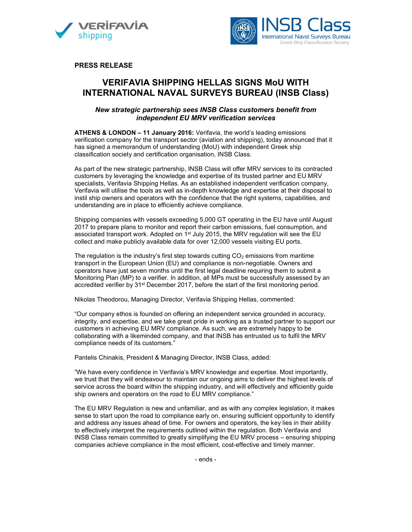



PRESS RELEASE

# VERIFAVIA SHIPPING HELLAS SIGNS MoU WITH INTERNATIONAL NAVAL SURVEYS BUREAU (INSB Class)

## New strategic partnership sees INSB Class customers benefit from independent EU MRV verification services

ATHENS & LONDON – 11 January 2016: Verifavia, the world's leading emissions verification company for the transport sector (aviation and shipping), today announced that it has signed a memorandum of understanding (MoU) with independent Greek ship classification society and certification organisation, INSB Class.

As part of the new strategic partnership, INSB Class will offer MRV services to its contracted customers by leveraging the knowledge and expertise of its trusted partner and EU MRV specialists, Verifavia Shipping Hellas. As an established independent verification company, Verifavia will utilise the tools as well as in-depth knowledge and expertise at their disposal to instil ship owners and operators with the confidence that the right systems, capabilities, and understanding are in place to efficiently achieve compliance.

Shipping companies with vessels exceeding 5,000 GT operating in the EU have until August 2017 to prepare plans to monitor and report their carbon emissions, fuel consumption, and associated transport work. Adopted on  $1<sup>st</sup>$  July 2015, the MRV regulation will see the EU collect and make publicly available data for over 12,000 vessels visiting EU ports.

The regulation is the industry's first step towards cutting  $CO<sub>2</sub>$  emissions from maritime transport in the European Union (EU) and compliance is non-negotiable. Owners and operators have just seven months until the first legal deadline requiring them to submit a Monitoring Plan (MP) to a verifier. In addition, all MPs must be successfully assessed by an accredited verifier by 31<sup>st</sup> December 2017, before the start of the first monitoring period.

Nikolas Theodorou, Managing Director, Verifavia Shipping Hellas, commented:

"Our company ethos is founded on offering an independent service grounded in accuracy, integrity, and expertise, and we take great pride in working as a trusted partner to support our customers in achieving EU MRV compliance. As such, we are extremely happy to be collaborating with a likeminded company, and that INSB has entrusted us to fulfil the MRV compliance needs of its customers."

Pantelis Chinakis, President & Managing Director, INSB Class, added:

"We have every confidence in Verifavia's MRV knowledge and expertise. Most importantly, we trust that they will endeavour to maintain our ongoing aims to deliver the highest levels of service across the board within the shipping industry, and will effectively and efficiently guide ship owners and operators on the road to EU MRV compliance."

The EU MRV Regulation is new and unfamiliar, and as with any complex legislation, it makes sense to start upon the road to compliance early on, ensuring sufficient opportunity to identify and address any issues ahead of time. For owners and operators, the key lies in their ability to effectively interpret the requirements outlined within the regulation. Both Verifavia and INSB Class remain committed to greatly simplifying the EU MRV process – ensuring shipping companies achieve compliance in the most efficient, cost-effective and timely manner.